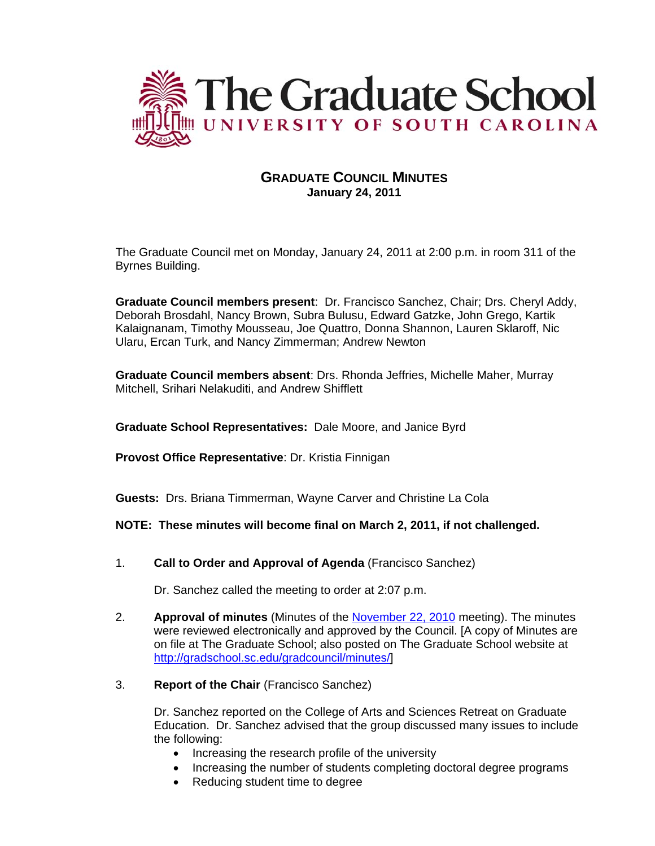

# **GRADUATE COUNCIL MINUTES January 24, 2011**

The Graduate Council met on Monday, January 24, 2011 at 2:00 p.m. in room 311 of the Byrnes Building.

**Graduate Council members present**: Dr. Francisco Sanchez, Chair; Drs. Cheryl Addy, Deborah Brosdahl, Nancy Brown, Subra Bulusu, Edward Gatzke, John Grego, Kartik Kalaignanam, Timothy Mousseau, Joe Quattro, Donna Shannon, Lauren Sklaroff, Nic Ularu, Ercan Turk, and Nancy Zimmerman; Andrew Newton

**Graduate Council members absent**: Drs. Rhonda Jeffries, Michelle Maher, Murray Mitchell, Srihari Nelakuditi, and Andrew Shifflett

**Graduate School Representatives:** Dale Moore, and Janice Byrd

**Provost Office Representative**: Dr. Kristia Finnigan

**Guests:** Drs. Briana Timmerman, Wayne Carver and Christine La Cola

## **NOTE: These minutes will become final on March 2, 2011, if not challenged.**

1. **Call to Order and Approval of Agenda** (Francisco Sanchez)

Dr. Sanchez called the meeting to order at 2:07 p.m.

- 2. **Approval of minutes** (Minutes of the [November 22, 2010](http://gradschool.sc.edu/gradcouncil/minutes/GCMinutes112210.pdf) meeting). The minutes were reviewed electronically and approved by the Council. [A copy of Minutes are on file at The Graduate School; also posted on The Graduate School website at [http://gradschool.sc.edu/gradcouncil/minutes/\]](http://gradschool.sc.edu/gradcouncil/minutes/)
- 3. **Report of the Chair** (Francisco Sanchez)

Dr. Sanchez reported on the College of Arts and Sciences Retreat on Graduate Education. Dr. Sanchez advised that the group discussed many issues to include the following:

- Increasing the research profile of the university
- Increasing the number of students completing doctoral degree programs
- Reducing student time to degree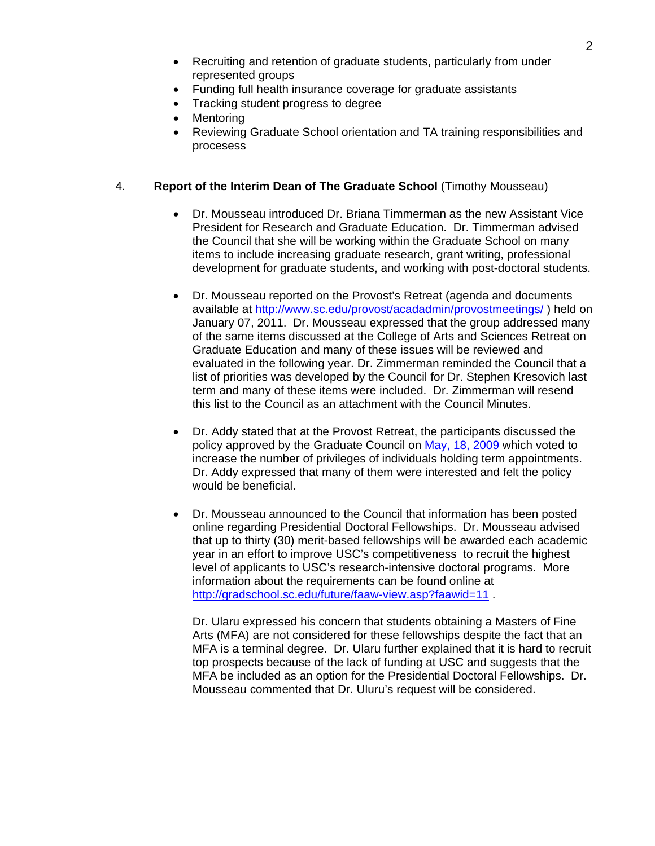- Recruiting and retention of graduate students, particularly from under represented groups
- Funding full health insurance coverage for graduate assistants
- Tracking student progress to degree
- **Mentoring**
- Reviewing Graduate School orientation and TA training responsibilities and procesess

## 4. **Report of the Interim Dean of The Graduate School** (Timothy Mousseau)

- Dr. Mousseau introduced Dr. Briana Timmerman as the new Assistant Vice President for Research and Graduate Education. Dr. Timmerman advised the Council that she will be working within the Graduate School on many items to include increasing graduate research, grant writing, professional development for graduate students, and working with post-doctoral students.
- Dr. Mousseau reported on the Provost's Retreat (agenda and documents available at <http://www.sc.edu/provost/acadadmin/provostmeetings/> ) held on January 07, 2011. Dr. Mousseau expressed that the group addressed many of the same items discussed at the College of Arts and Sciences Retreat on Graduate Education and many of these issues will be reviewed and evaluated in the following year. Dr. Zimmerman reminded the Council that a list of priorities was developed by the Council for Dr. Stephen Kresovich last term and many of these items were included. Dr. Zimmerman will resend this list to the Council as an attachment with the Council Minutes.
- Dr. Addy stated that at the Provost Retreat, the participants discussed the policy approved by the Graduate Council on [May, 18, 2009](http://gradschool.sc.edu/gradcouncil/minutes/archive/GCMinutes%20051809(2).pdf) which voted to increase the number of privileges of individuals holding term appointments. Dr. Addy expressed that many of them were interested and felt the policy would be beneficial.
- Dr. Mousseau announced to the Council that information has been posted online regarding Presidential Doctoral Fellowships. Dr. Mousseau advised that up to thirty (30) merit-based fellowships will be awarded each academic year in an effort to improve USC's competitiveness to recruit the highest level of applicants to USC's research-intensive doctoral programs. More information about the requirements can be found online at <http://gradschool.sc.edu/future/faaw-view.asp?faawid=11>.

Dr. Ularu expressed his concern that students obtaining a Masters of Fine Arts (MFA) are not considered for these fellowships despite the fact that an MFA is a terminal degree. Dr. Ularu further explained that it is hard to recruit top prospects because of the lack of funding at USC and suggests that the MFA be included as an option for the Presidential Doctoral Fellowships. Dr. Mousseau commented that Dr. Uluru's request will be considered.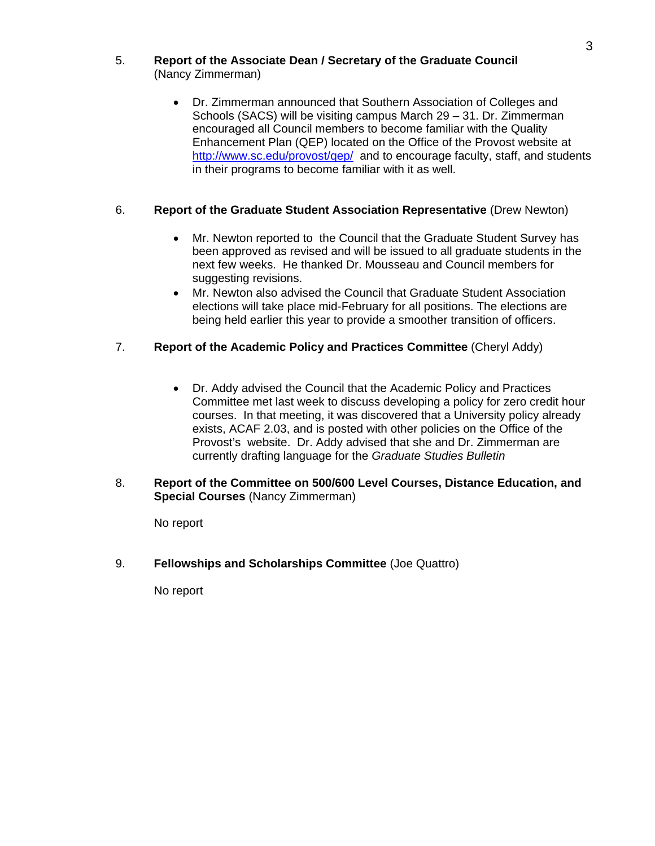# 5. **Report of the Associate Dean / Secretary of the Graduate Council**  (Nancy Zimmerman)

• Dr. Zimmerman announced that Southern Association of Colleges and Schools (SACS) will be visiting campus March 29 – 31. Dr. Zimmerman encouraged all Council members to become familiar with the Quality Enhancement Plan (QEP) located on the Office of the Provost website at <http://www.sc.edu/provost/qep/> and to encourage faculty, staff, and students in their programs to become familiar with it as well.

# 6. **Report of the Graduate Student Association Representative** (Drew Newton)

- Mr. Newton reported to the Council that the Graduate Student Survey has been approved as revised and will be issued to all graduate students in the next few weeks. He thanked Dr. Mousseau and Council members for suggesting revisions.
- Mr. Newton also advised the Council that Graduate Student Association elections will take place mid-February for all positions. The elections are being held earlier this year to provide a smoother transition of officers.

# 7. **Report of the Academic Policy and Practices Committee** (Cheryl Addy)

• Dr. Addy advised the Council that the Academic Policy and Practices Committee met last week to discuss developing a policy for zero credit hour courses. In that meeting, it was discovered that a University policy already exists, ACAF 2.03, and is posted with other policies on the Office of the Provost's website. Dr. Addy advised that she and Dr. Zimmerman are currently drafting language for the *Graduate Studies Bulletin*

## 8. **Report of the Committee on 500/600 Level Courses, Distance Education, and Special Courses** (Nancy Zimmerman)

No report

9. **Fellowships and Scholarships Committee** (Joe Quattro)

No report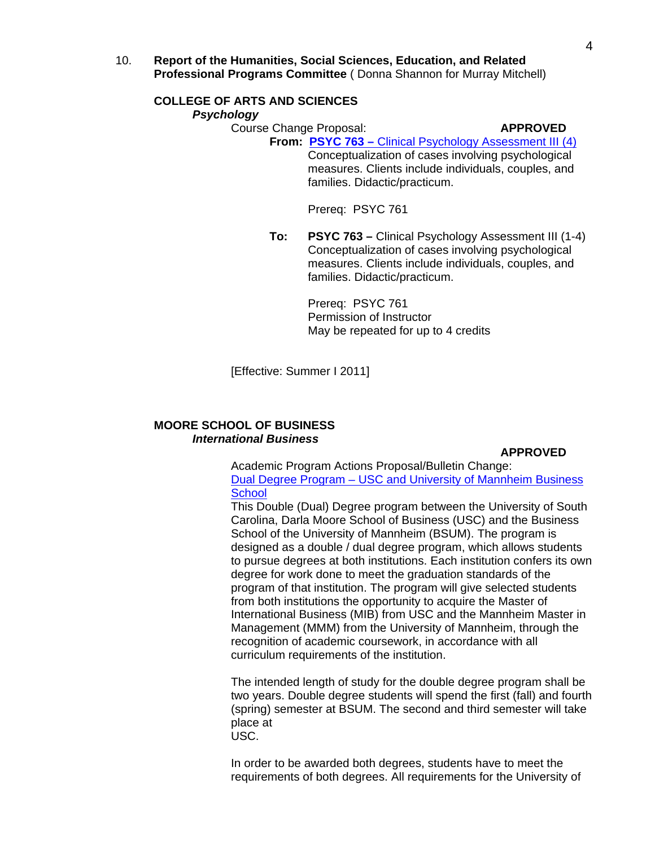10. **Report of the Humanities, Social Sciences, Education, and Related Professional Programs Committee** ( Donna Shannon for Murray Mitchell)

# **COLLEGE OF ARTS AND SCIENCES**  *Psychology*  Course Change Proposal: **APPROVED From: PSYC 763 –** [Clinical Psychology Assessment III \(4\)](http://gradschool.sc.edu/gradcouncil/curr_docs/CCPPSYC763_201111.pdf)

 Conceptualization of cases involving psychological measures. Clients include individuals, couples, and families. Didactic/practicum.

Prereq: PSYC 761

**To: PSYC 763 –** Clinical Psychology Assessment III (1-4) Conceptualization of cases involving psychological measures. Clients include individuals, couples, and families. Didactic/practicum.

> Prereq: PSYC 761 Permission of Instructor May be repeated for up to 4 credits

[Effective: Summer I 2011]

# **MOORE SCHOOL OF BUSINESS**  *International Business*

#### **APPROVED**

 Academic Program Actions Proposal/Bulletin Change: [Dual Degree Program – USC and University of Mannheim Business](http://gradschool.sc.edu/gradcouncil/curr_docs/APAIntBusinessDualDegree_201111.pdf)  **School** 

This Double (Dual) Degree program between the University of South Carolina, Darla Moore School of Business (USC) and the Business School of the University of Mannheim (BSUM). The program is designed as a double / dual degree program, which allows students to pursue degrees at both institutions. Each institution confers its own degree for work done to meet the graduation standards of the program of that institution. The program will give selected students from both institutions the opportunity to acquire the Master of International Business (MIB) from USC and the Mannheim Master in Management (MMM) from the University of Mannheim, through the recognition of academic coursework, in accordance with all curriculum requirements of the institution.

The intended length of study for the double degree program shall be two years. Double degree students will spend the first (fall) and fourth (spring) semester at BSUM. The second and third semester will take place at USC.

In order to be awarded both degrees, students have to meet the requirements of both degrees. All requirements for the University of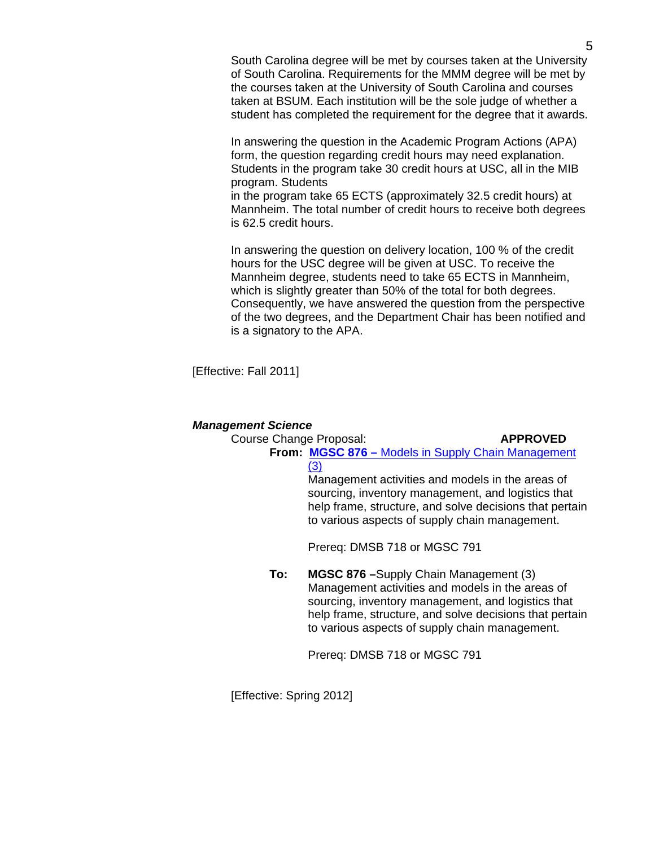South Carolina degree will be met by courses taken at the University of South Carolina. Requirements for the MMM degree will be met by the courses taken at the University of South Carolina and courses taken at BSUM. Each institution will be the sole judge of whether a student has completed the requirement for the degree that it awards.

In answering the question in the Academic Program Actions (APA) form, the question regarding credit hours may need explanation. Students in the program take 30 credit hours at USC, all in the MIB program. Students in the program take 65 ECTS (approximately 32.5 credit hours) at Mannheim. The total number of credit hours to receive both degrees is 62.5 credit hours.

In answering the question on delivery location, 100 % of the credit hours for the USC degree will be given at USC. To receive the Mannheim degree, students need to take 65 ECTS in Mannheim, which is slightly greater than 50% of the total for both degrees. Consequently, we have answered the question from the perspective of the two degrees, and the Department Chair has been notified and is a signatory to the APA.

[Effective: Fall 2011]

### *Management Science*

Course Change Proposal: **APPROVED**

**From: MGSC 876 –** [Models in Supply Chain Management](http://gradschool.sc.edu/gradcouncil/curr_docs/CCPMGSC876_201111.pdf)   [\(3\)](http://gradschool.sc.edu/gradcouncil/curr_docs/CCPMGSC876_201111.pdf)

> Management activities and models in the areas of sourcing, inventory management, and logistics that help frame, structure, and solve decisions that pertain to various aspects of supply chain management.

Prereq: DMSB 718 or MGSC 791

**To: MGSC 876 –**Supply Chain Management (3) Management activities and models in the areas of sourcing, inventory management, and logistics that help frame, structure, and solve decisions that pertain to various aspects of supply chain management.

Prereq: DMSB 718 or MGSC 791

[Effective: Spring 2012]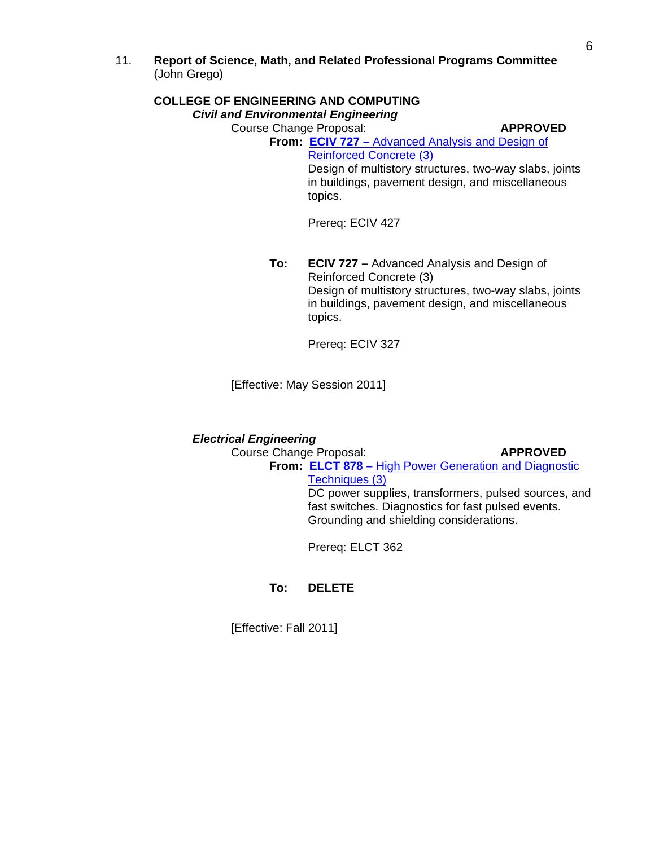11. **Report of Science, Math, and Related Professional Programs Committee** (John Grego)

## **COLLEGE OF ENGINEERING AND COMPUTING**  *Civil and Environmental Engineering*

Course Change Proposal: **APPROVED From: ECIV 727 –** [Advanced Analysis and Design of](http://gradschool.sc.edu/gradcouncil/curr_docs/CCPECIV727_201041.pdf) 

 [Reinforced Concrete \(3\)](http://gradschool.sc.edu/gradcouncil/curr_docs/CCPECIV727_201041.pdf) Design of multistory structures, two-way slabs, joints in buildings, pavement design, and miscellaneous topics.

Prereq: ECIV 427

**To: ECIV 727 –** Advanced Analysis and Design of Reinforced Concrete (3) Design of multistory structures, two-way slabs, joints in buildings, pavement design, and miscellaneous topics.

Prereq: ECIV 327

[Effective: May Session 2011]

# *Electrical Engineering*

Course Change Proposal: **APPROVED** 

**From: ELCT 878 –** [High Power Generation and Diagnostic](http://gradschool.sc.edu/gradcouncil/curr_docs/CCPELCT878_201111.pdf)   [Techniques \(3\)](http://gradschool.sc.edu/gradcouncil/curr_docs/CCPELCT878_201111.pdf)

 DC power supplies, transformers, pulsed sources, and fast switches. Diagnostics for fast pulsed events. Grounding and shielding considerations.

Prereq: ELCT 362

# **To: DELETE**

[Effective: Fall 2011]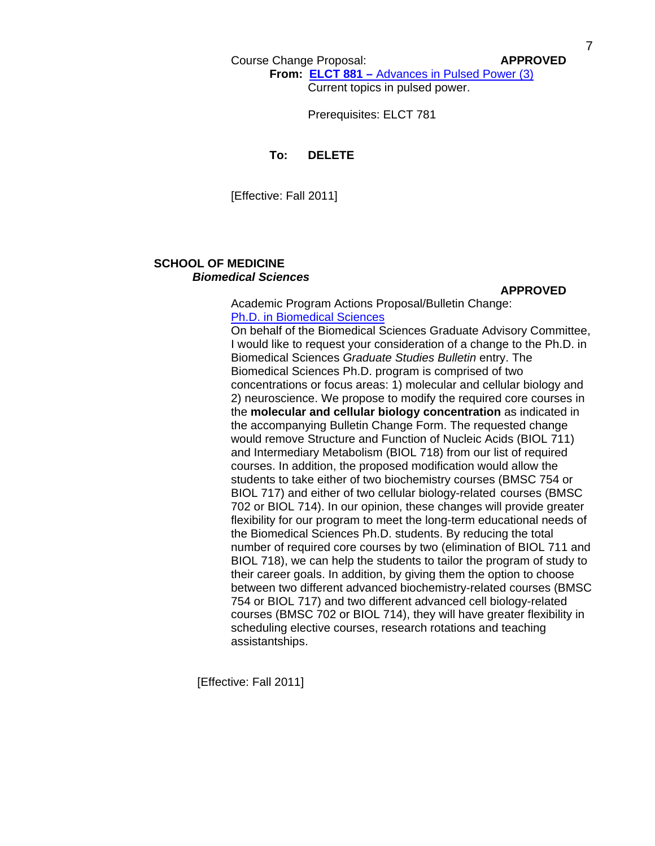#### Course Change Proposal: **APPROVED**

**From: ELCT 881 –** [Advances in Pulsed Power \(3\)](http://gradschool.sc.edu/gradcouncil/curr_docs/CCPELCT881_201111.pdf)

Current topics in pulsed power.

Prerequisites: ELCT 781

## **To: DELETE**

[Effective: Fall 2011]

## **SCHOOL OF MEDICINE**   *Biomedical Sciences*

#### **APPROVED**

Academic Program Actions Proposal/Bulletin Change: [Ph.D. in Biomedical Sciences](http://gradschool.sc.edu/gradcouncil/curr_docs/APAPhDBiomedicalSciences_201111.pdf)

 On behalf of the Biomedical Sciences Graduate Advisory Committee, I would like to request your consideration of a change to the Ph.D. in Biomedical Sciences *Graduate Studies Bulletin* entry. The Biomedical Sciences Ph.D. program is comprised of two concentrations or focus areas: 1) molecular and cellular biology and 2) neuroscience. We propose to modify the required core courses in the **molecular and cellular biology concentration** as indicated in the accompanying Bulletin Change Form. The requested change would remove Structure and Function of Nucleic Acids (BIOL 711) and Intermediary Metabolism (BIOL 718) from our list of required courses. In addition, the proposed modification would allow the students to take either of two biochemistry courses (BMSC 754 or BIOL 717) and either of two cellular biology-related courses (BMSC 702 or BIOL 714). In our opinion, these changes will provide greater flexibility for our program to meet the long-term educational needs of the Biomedical Sciences Ph.D. students. By reducing the total number of required core courses by two (elimination of BIOL 711 and BIOL 718), we can help the students to tailor the program of study to their career goals. In addition, by giving them the option to choose between two different advanced biochemistry-related courses (BMSC 754 or BIOL 717) and two different advanced cell biology-related courses (BMSC 702 or BIOL 714), they will have greater flexibility in scheduling elective courses, research rotations and teaching assistantships.

[Effective: Fall 2011]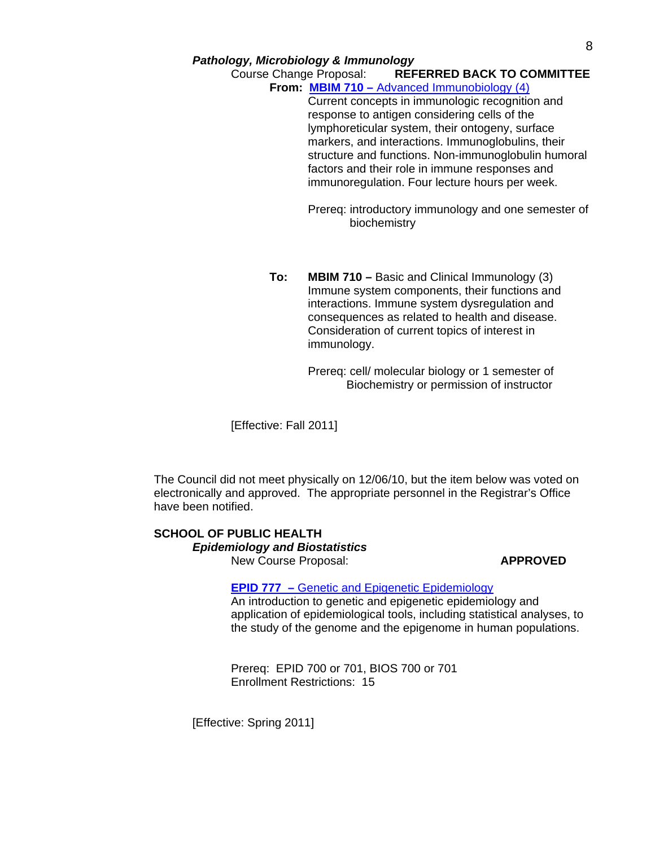Course Change Proposal: **REFERRED BACK TO COMMITTEE**

**From: MBIM 710 –** [Advanced Immunobiology \(4\)](http://gradschool.sc.edu/gradcouncil/curr_docs/CCPMBIM710_201041.pdf)

 Current concepts in immunologic recognition and response to antigen considering cells of the lymphoreticular system, their ontogeny, surface markers, and interactions. Immunoglobulins, their structure and functions. Non-immunoglobulin humoral factors and their role in immune responses and immunoregulation. Four lecture hours per week.

 Prereq: introductory immunology and one semester of biochemistry

**To: MBIM 710 –** Basic and Clinical Immunology (3) Immune system components, their functions and interactions. Immune system dysregulation and consequences as related to health and disease. Consideration of current topics of interest in immunology.

> Prereq: cell/ molecular biology or 1 semester of Biochemistry or permission of instructor

[Effective: Fall 2011]

The Council did not meet physically on 12/06/10, but the item below was voted on electronically and approved. The appropriate personnel in the Registrar's Office have been notified.

## **SCHOOL OF PUBLIC HEALTH**   *Epidemiology and Biostatistics* New Course Proposal: **APPROVED**

## **EPID 777 –** [Genetic and Epigenetic Epidemiology](http://gradschool.sc.edu/gradcouncil/curr_docs/NCPEPID777_201041.pdf)

An introduction to genetic and epigenetic epidemiology and application of epidemiological tools, including statistical analyses, to the study of the genome and the epigenome in human populations.

 Prereq: EPID 700 or 701, BIOS 700 or 701 Enrollment Restrictions: 15

[Effective: Spring 2011]